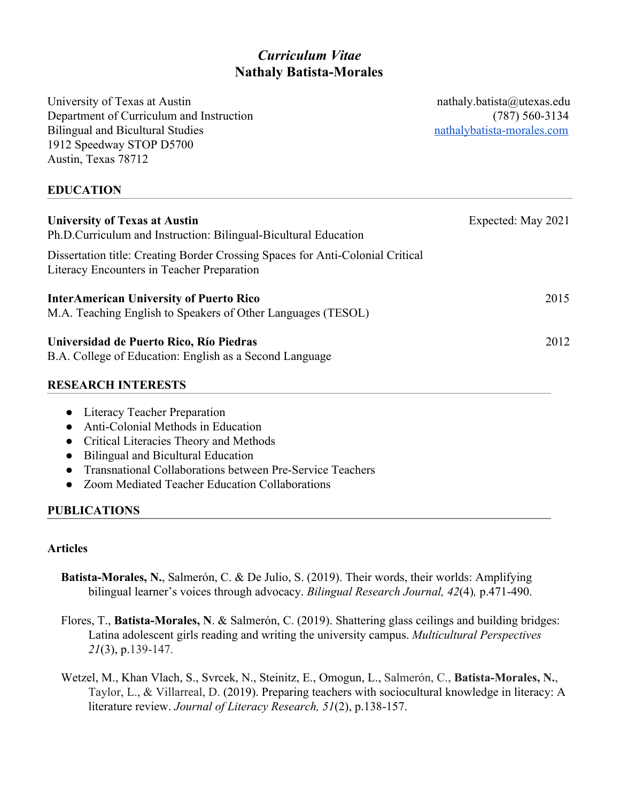# *Curriculum Vitae* **Nathaly Batista-Morales**

University of Texas at Austin nathaly.batista@utexas.edu Department of Curriculum and Instruction (787) 560-3134 Bilingual and Bicultural Studies [nathalybatista-morales.com](http://nathalybatista-morales.com/) 1912 Speedway STOP D5700 Austin, Texas 78712

### **EDUCATION**

| <b>University of Texas at Austin</b><br>Ph.D.Curriculum and Instruction: Bilingual-Bicultural Education                      | Expected: May 2021 |
|------------------------------------------------------------------------------------------------------------------------------|--------------------|
| Dissertation title: Creating Border Crossing Spaces for Anti-Colonial Critical<br>Literacy Encounters in Teacher Preparation |                    |
| <b>InterAmerican University of Puerto Rico</b><br>M.A. Teaching English to Speakers of Other Languages (TESOL)               | 2015               |
| Universidad de Puerto Rico, Río Piedras<br>B.A. College of Education: English as a Second Language                           | 2012               |
| <b>RESEARCH INTERESTS</b>                                                                                                    |                    |

## ● Literacy Teacher Preparation

- Anti-Colonial Methods in Education
- Critical Literacies Theory and Methods
- Bilingual and Bicultural Education
- Transnational Collaborations between Pre-Service Teachers
- Zoom Mediated Teacher Education Collaborations

### **PUBLICATIONS**

### **Articles**

- **Batista-Morales, N.**, Salmerón, C. & De Julio, S. (2019). Their words, their worlds: Amplifying bilingual learner's voices through advocacy. *Bilingual Research Journal, 42*(4)*,* p.471-490.
- Flores, T., **Batista-Morales, N**. & Salmerón, C. (2019). Shattering glass ceilings and building bridges: Latina adolescent girls reading and writing the university campus. *Multicultural Perspectives 21*(3), p.139-147.
- Wetzel, M., Khan Vlach, S., Svrcek, N., Steinitz, E., Omogun, L., Salmerón, C., **Batista-Morales, N.**, Taylor, L., & Villarreal, D. (2019). Preparing teachers with sociocultural knowledge in literacy: A literature review. *Journal of Literacy Research, 51*(2), p.138-157.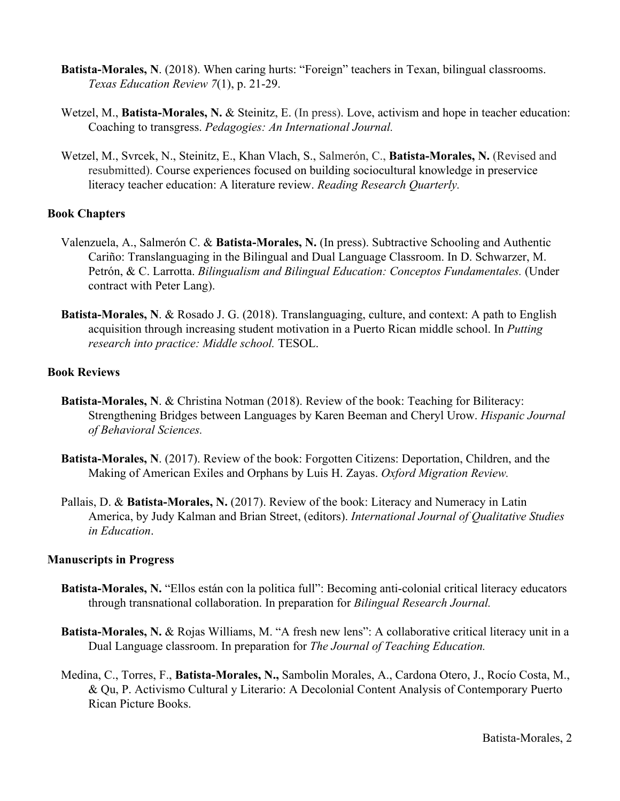- **Batista-Morales, N**. (2018). When caring hurts: "Foreign" teachers in Texan, bilingual classrooms. *Texas Education Review 7*(1), p. 21-29.
- Wetzel, M., **Batista-Morales, N. &** Steinitz, E. (In press). Love, activism and hope in teacher education: Coaching to transgress. *Pedagogies: An International Journal.*
- Wetzel, M., Svrcek, N., Steinitz, E., Khan Vlach, S., Salmerón, C., **Batista-Morales, N.** (Revised and resubmitted). Course experiences focused on building sociocultural knowledge in preservice literacy teacher education: A literature review. *Reading Research Quarterly.*

#### **Book Chapters**

- Valenzuela, A., Salmerón C. & **Batista-Morales, N.** (In press). Subtractive Schooling and Authentic Cariño: Translanguaging in the Bilingual and Dual Language Classroom. In D. Schwarzer, M. Petrón, & C. Larrotta. *Bilingualism and Bilingual Education: Conceptos Fundamentales.* (Under contract with Peter Lang).
- **Batista-Morales, N**. & Rosado J. G. (2018). Translanguaging, culture, and context: A path to English acquisition through increasing student motivation in a Puerto Rican middle school. In *Putting research into practice: Middle school.* TESOL.

#### **Book Reviews**

- **Batista-Morales, N**. & Christina Notman (2018). Review of the book: Teaching for Biliteracy: Strengthening Bridges between Languages by Karen Beeman and Cheryl Urow. *Hispanic Journal of Behavioral Sciences.*
- **Batista-Morales, N**. (2017). Review of the book: Forgotten Citizens: Deportation, Children, and the Making of American Exiles and Orphans by Luis H. Zayas. *Oxford Migration Review.*
- Pallais, D. & **Batista-Morales, N.** (2017). Review of the book: Literacy and Numeracy in Latin America, by Judy Kalman and Brian Street, (editors). *International Journal of Qualitative Studies in Education*.

#### **Manuscripts in Progress**

- **Batista-Morales, N.** "Ellos están con la politica full": Becoming anti-colonial critical literacy educators through transnational collaboration. In preparation for *Bilingual Research Journal.*
- **Batista-Morales, N.** & Rojas Williams, M. "A fresh new lens": A collaborative critical literacy unit in a Dual Language classroom. In preparation for *The Journal of Teaching Education.*
- Medina, C., Torres, F., **Batista-Morales, N.,** Sambolin Morales, A., Cardona Otero, J., Rocío Costa, M., & Qu, P. Activismo Cultural y Literario: A Decolonial Content Analysis of Contemporary Puerto Rican Picture Books.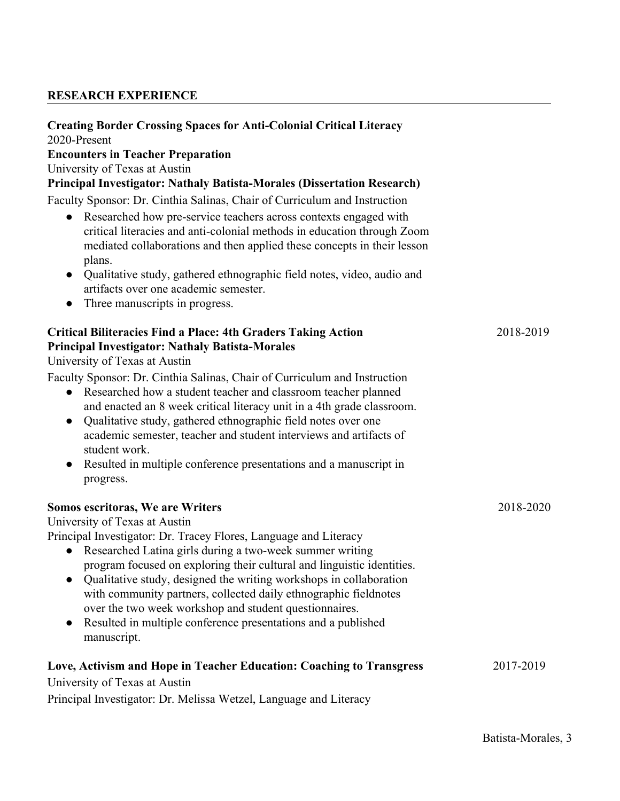### **RESEARCH EXPERIENCE**

### **Creating Border Crossing Spaces for Anti-Colonial Critical Literacy**

2020-Present

#### **Encounters in Teacher Preparation**

University of Texas at Austin

#### **Principal Investigator: Nathaly Batista-Morales (Dissertation Research)**

Faculty Sponsor: Dr. Cinthia Salinas, Chair of Curriculum and Instruction

- Researched how pre-service teachers across contexts engaged with critical literacies and anti-colonial methods in education through Zoom mediated collaborations and then applied these concepts in their lesson plans.
- Qualitative study, gathered ethnographic field notes, video, audio and artifacts over one academic semester.
- Three manuscripts in progress.

| <b>Critical Biliteracies Find a Place: 4th Graders Taking Action</b><br><b>Principal Investigator: Nathaly Batista-Morales</b><br>University of Texas at Austin<br>Faculty Sponsor: Dr. Cinthia Salinas, Chair of Curriculum and Instruction<br>• Researched how a student teacher and classroom teacher planned<br>and enacted an 8 week critical literacy unit in a 4th grade classroom.<br>Qualitative study, gathered ethnographic field notes over one<br>$\bullet$<br>academic semester, teacher and student interviews and artifacts of<br>student work.<br>Resulted in multiple conference presentations and a manuscript in | 2018-2019 |
|--------------------------------------------------------------------------------------------------------------------------------------------------------------------------------------------------------------------------------------------------------------------------------------------------------------------------------------------------------------------------------------------------------------------------------------------------------------------------------------------------------------------------------------------------------------------------------------------------------------------------------------|-----------|
| progress.                                                                                                                                                                                                                                                                                                                                                                                                                                                                                                                                                                                                                            |           |
| Somos escritoras, We are Writers                                                                                                                                                                                                                                                                                                                                                                                                                                                                                                                                                                                                     | 2018-2020 |
| University of Texas at Austin                                                                                                                                                                                                                                                                                                                                                                                                                                                                                                                                                                                                        |           |
| Principal Investigator: Dr. Tracey Flores, Language and Literacy<br>• Researched Latina girls during a two-week summer writing<br>program focused on exploring their cultural and linguistic identities.<br>Qualitative study, designed the writing workshops in collaboration<br>$\bullet$<br>with community partners, collected daily ethnographic fieldnotes<br>over the two week workshop and student questionnaires.<br>Resulted in multiple conference presentations and a published<br>$\bullet$<br>manuscript.                                                                                                               |           |
| Love, Activism and Hope in Teacher Education: Coaching to Transgress<br>University of Texas at Austin                                                                                                                                                                                                                                                                                                                                                                                                                                                                                                                                | 2017-2019 |
| Principal Investigator: Dr. Melissa Wetzel, Language and Literacy                                                                                                                                                                                                                                                                                                                                                                                                                                                                                                                                                                    |           |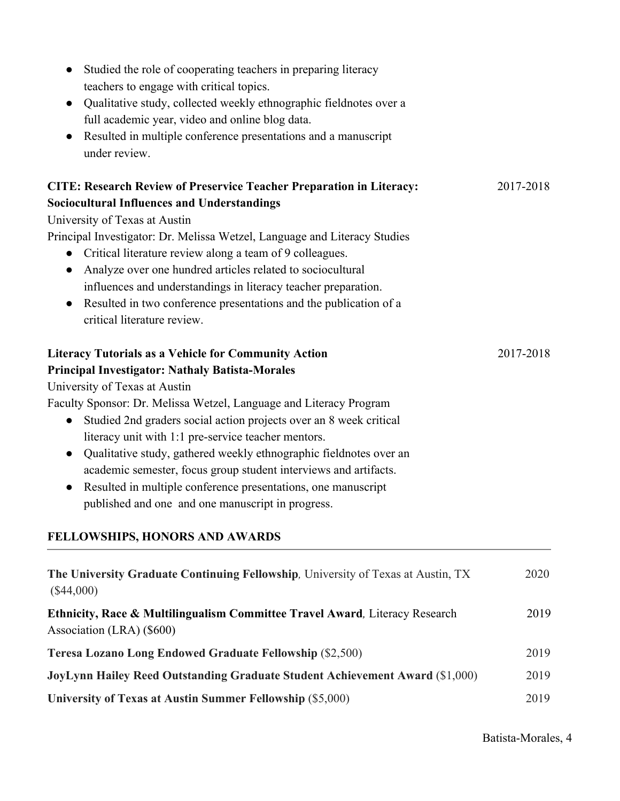| University of Texas at Austin<br>Faculty Sponsor: Dr. Melissa Wetzel, Language and Literacy Program |      |
|-----------------------------------------------------------------------------------------------------|------|
| Studied 2nd graders social action projects over an 8 week critical<br>$\bullet$                     |      |
| literacy unit with 1:1 pre-service teacher mentors.                                                 |      |
| Qualitative study, gathered weekly ethnographic fieldnotes over an                                  |      |
|                                                                                                     |      |
| academic semester, focus group student interviews and artifacts.                                    |      |
| Resulted in multiple conference presentations, one manuscript<br>$\bullet$                          |      |
| published and one and one manuscript in progress.                                                   |      |
| FELLOWSHIPS, HONORS AND AWARDS                                                                      |      |
| The University Graduate Continuing Fellowship, University of Texas at Austin, TX                    | 2020 |
| $(\$44,000)$                                                                                        |      |
| Ethnicity, Race & Multilingualism Committee Travel Award, Literacy Research                         | 2019 |
| Association (LRA) (\$600)                                                                           |      |
| Teresa Lozano Long Endowed Graduate Fellowship (\$2,500)                                            | 2019 |
| JoyLynn Hailey Reed Outstanding Graduate Student Achievement Award (\$1,000)                        | 2019 |
|                                                                                                     |      |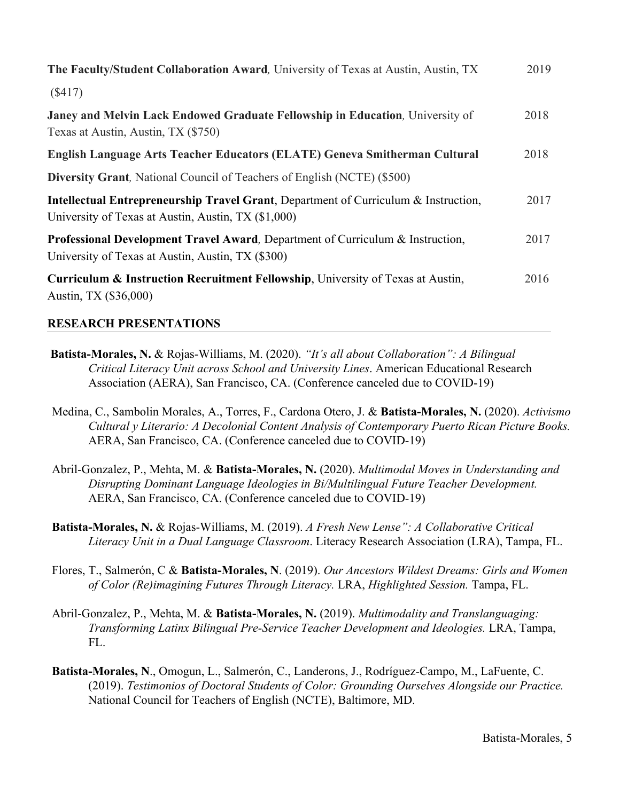| The Faculty/Student Collaboration Award, University of Texas at Austin, Austin, TX                                                                    | 2019 |
|-------------------------------------------------------------------------------------------------------------------------------------------------------|------|
| (S417)                                                                                                                                                |      |
| <b>Janey and Melvin Lack Endowed Graduate Fellowship in Education, University of</b><br>Texas at Austin, Austin, TX (\$750)                           | 2018 |
| English Language Arts Teacher Educators (ELATE) Geneva Smitherman Cultural                                                                            | 2018 |
| <b>Diversity Grant, National Council of Teachers of English (NCTE) (\$500)</b>                                                                        |      |
| <b>Intellectual Entrepreneurship Travel Grant, Department of Curriculum &amp; Instruction,</b><br>University of Texas at Austin, Austin, TX (\$1,000) | 2017 |
| <b>Professional Development Travel Award, Department of Curriculum &amp; Instruction,</b><br>University of Texas at Austin, Austin, TX (\$300)        | 2017 |
| Curriculum & Instruction Recruitment Fellowship, University of Texas at Austin,<br>Austin, TX (\$36,000)                                              | 2016 |

#### **RESEARCH PRESENTATIONS**

- **Batista-Morales, N.** & Rojas-Williams, M. (2020). *"It's all about Collaboration": A Bilingual Critical Literacy Unit across School and University Lines*. American Educational Research Association (AERA), San Francisco, CA. (Conference canceled due to COVID-19)
- Medina, C., Sambolin Morales, A., Torres, F., Cardona Otero, J. & **Batista-Morales, N.** (2020). *Activismo Cultural y Literario: A Decolonial Content Analysis of Contemporary Puerto Rican Picture Books.* AERA, San Francisco, CA. (Conference canceled due to COVID-19)
- Abril-Gonzalez, P., Mehta, M. & **Batista-Morales, N.** (2020). *Multimodal Moves in Understanding and Disrupting Dominant Language Ideologies in Bi/Multilingual Future Teacher Development.* AERA, San Francisco, CA. (Conference canceled due to COVID-19)
- **Batista-Morales, N.** & Rojas-Williams, M. (2019). *A Fresh New Lense": A Collaborative Critical Literacy Unit in a Dual Language Classroom*. Literacy Research Association (LRA), Tampa, FL.
- Flores, T., Salmerón, C & **Batista-Morales, N**. (2019). *Our Ancestors Wildest Dreams: Girls and Women of Color (Re)imagining Futures Through Literacy.* LRA, *Highlighted Session.* Tampa, FL.
- Abril-Gonzalez, P., Mehta, M. & **Batista-Morales, N.** (2019). *Multimodality and Translanguaging: Transforming Latinx Bilingual Pre-Service Teacher Development and Ideologies.* LRA, Tampa, FL.
- **Batista-Morales, N**., Omogun, L., Salmerón, C., Landerons, J., Rodríguez-Campo, M., LaFuente, C. (2019). *Testimonios of Doctoral Students of Color: Grounding Ourselves Alongside our Practice.* National Council for Teachers of English (NCTE), Baltimore, MD.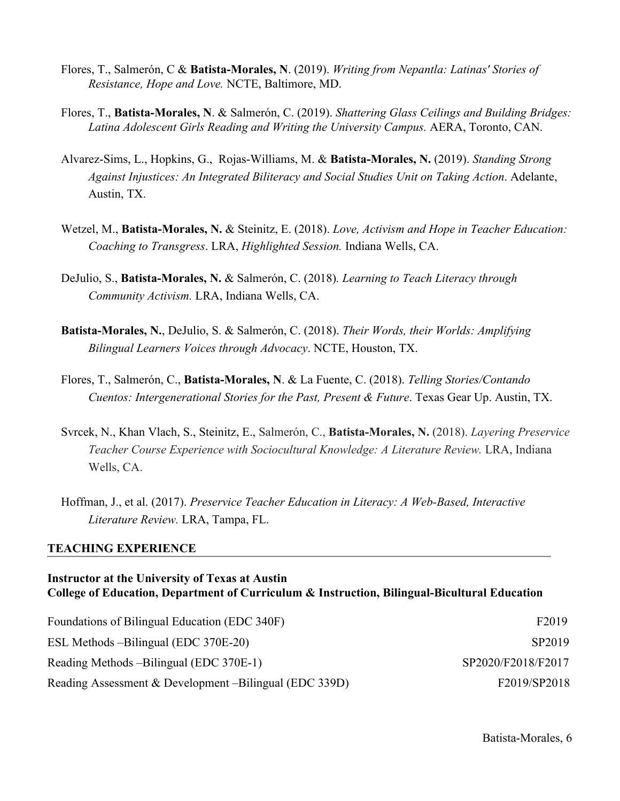- Flores, T., Salmerón, C & **Batista-Morales, N**. (2019). *Writing from Nepantla: Latinas' Stories of Resistance, Hope and Love.* NCTE, Baltimore, MD.
- Flores, T., **Batista-Morales, N**. & Salmerón, C. (2019). *Shattering Glass Ceilings and Building Bridges:* Latina Adolescent Girls Reading and Writing the University Campus. AERA, Toronto, CAN.
- Alvarez-Sims, L., Hopkins, G., Rojas-Williams, M. & **Batista-Morales, N.** (2019). *Standing Strong Against Injustices: An Integrated Biliteracy and Social Studies Unit on Taking Action*. Adelante, Austin, TX.
- Wetzel, M., **Batista-Morales, N.** & Steinitz, E. (2018). *Love, Activism and Hope in Teacher Education: Coaching to Transgress*. LRA, *Highlighted Session.* Indiana Wells, CA.
- DeJulio, S., **Batista-Morales, N.** & Salmerón, C. (2018)*. Learning to Teach Literacy through Community Activism.* LRA, Indiana Wells, CA.
- **Batista-Morales, N.**, DeJulio, S. & Salmerón, C. (2018). *Their Words, their Worlds: Amplifying Bilingual Learners Voices through Advocacy*. NCTE, Houston, TX.
- Flores, T., Salmerón, C., **Batista-Morales, N**. & La Fuente, C. (2018). *Telling Stories/Contando Cuentos: Intergenerational Stories for the Past, Present & Future*. Texas Gear Up. Austin, TX.
- Svrcek, N., Khan Vlach, S., Steinitz, E., Salmerón, C., **Batista-Morales, N.** (2018). *Layering Preservice Teacher Course Experience with Sociocultural Knowledge: A Literature Review. LRA, Indiana* Wells, CA.
- Hoffman, J., et al. (2017). *Preservice Teacher Education in Literacy: A Web-Based, Interactive Literature Review.* LRA, Tampa, FL.

#### **TEACHING EXPERIENCE**

### **Instructor at the University of Texas at Austin College of Education, Department of Curriculum & Instruction, Bilingual-Bicultural Education**

| Foundations of Bilingual Education (EDC 340F)          | F <sub>2019</sub>  |
|--------------------------------------------------------|--------------------|
| ESL Methods – Bilingual (EDC 370E-20)                  | SP <sub>2019</sub> |
| Reading Methods – Bilingual (EDC 370E-1)               | SP2020/F2018/F2017 |
| Reading Assessment & Development –Bilingual (EDC 339D) | F2019/SP2018       |

Batista-Morales, 6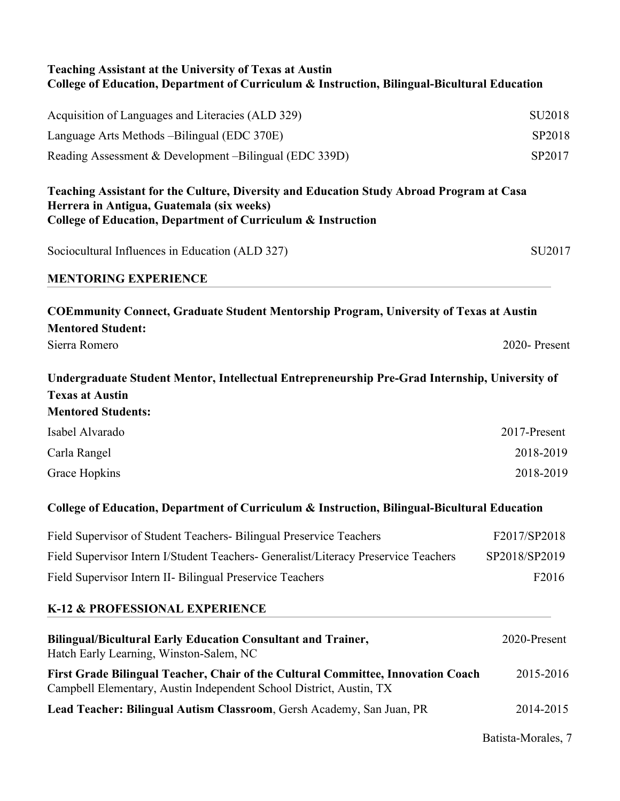| <b>Teaching Assistant at the University of Texas at Austin</b><br>College of Education, Department of Curriculum & Instruction, Bilingual-Bicultural Education                                        |                    |
|-------------------------------------------------------------------------------------------------------------------------------------------------------------------------------------------------------|--------------------|
| Acquisition of Languages and Literacies (ALD 329)                                                                                                                                                     | SU <sub>2018</sub> |
| Language Arts Methods – Bilingual (EDC 370E)                                                                                                                                                          | SP2018             |
| Reading Assessment & Development –Bilingual (EDC 339D)                                                                                                                                                | SP2017             |
| Teaching Assistant for the Culture, Diversity and Education Study Abroad Program at Casa<br>Herrera in Antigua, Guatemala (six weeks)<br>College of Education, Department of Curriculum & Instruction |                    |
| Sociocultural Influences in Education (ALD 327)                                                                                                                                                       | SU2017             |
| <b>MENTORING EXPERIENCE</b>                                                                                                                                                                           |                    |
| <b>COEmmunity Connect, Graduate Student Mentorship Program, University of Texas at Austin</b><br><b>Mentored Student:</b>                                                                             |                    |
| Sierra Romero                                                                                                                                                                                         | 2020-Present       |
| Undergraduate Student Mentor, Intellectual Entrepreneurship Pre-Grad Internship, University of<br><b>Texas at Austin</b><br><b>Mentored Students:</b>                                                 |                    |
| Isabel Alvarado                                                                                                                                                                                       | 2017-Present       |
| Carla Rangel                                                                                                                                                                                          | 2018-2019          |
| Grace Hopkins                                                                                                                                                                                         | 2018-2019          |
| College of Education, Department of Curriculum & Instruction, Bilingual-Bicultural Education                                                                                                          |                    |
| Field Supervisor of Student Teachers- Bilingual Preservice Teachers                                                                                                                                   | F2017/SP2018       |
| Field Supervisor Intern I/Student Teachers- Generalist/Literacy Preservice Teachers                                                                                                                   | SP2018/SP2019      |
| Field Supervisor Intern II- Bilingual Preservice Teachers                                                                                                                                             | F2016              |
| K-12 & PROFESSIONAL EXPERIENCE                                                                                                                                                                        |                    |
| <b>Bilingual/Bicultural Early Education Consultant and Trainer,</b><br>Hatch Early Learning, Winston-Salem, NC                                                                                        | 2020-Present       |
| First Grade Bilingual Teacher, Chair of the Cultural Committee, Innovation Coach<br>Campbell Elementary, Austin Independent School District, Austin, TX                                               | 2015-2016          |
| Lead Teacher: Bilingual Autism Classroom, Gersh Academy, San Juan, PR                                                                                                                                 | 2014-2015          |
|                                                                                                                                                                                                       | Batista-Morales, 7 |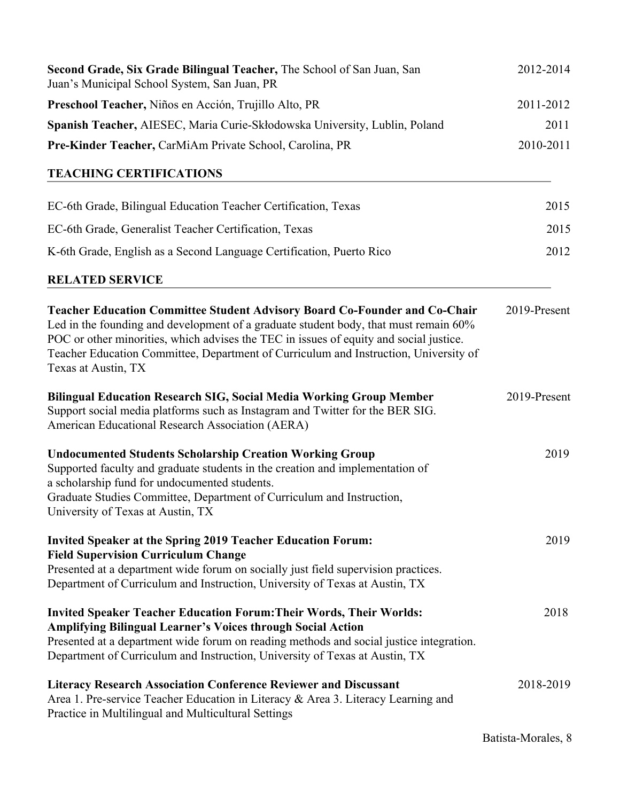| Second Grade, Six Grade Bilingual Teacher, The School of San Juan, San<br>Juan's Municipal School System, San Juan, PR                                                                                                                                                                                                                                                             | 2012-2014    |
|------------------------------------------------------------------------------------------------------------------------------------------------------------------------------------------------------------------------------------------------------------------------------------------------------------------------------------------------------------------------------------|--------------|
| Preschool Teacher, Niños en Acción, Trujillo Alto, PR                                                                                                                                                                                                                                                                                                                              | 2011-2012    |
| Spanish Teacher, AIESEC, Maria Curie-Skłodowska University, Lublin, Poland                                                                                                                                                                                                                                                                                                         | 2011         |
| Pre-Kinder Teacher, CarMiAm Private School, Carolina, PR                                                                                                                                                                                                                                                                                                                           | 2010-2011    |
| <b>TEACHING CERTIFICATIONS</b>                                                                                                                                                                                                                                                                                                                                                     |              |
| EC-6th Grade, Bilingual Education Teacher Certification, Texas                                                                                                                                                                                                                                                                                                                     | 2015         |
| EC-6th Grade, Generalist Teacher Certification, Texas                                                                                                                                                                                                                                                                                                                              | 2015         |
| K-6th Grade, English as a Second Language Certification, Puerto Rico                                                                                                                                                                                                                                                                                                               | 2012         |
| <b>RELATED SERVICE</b>                                                                                                                                                                                                                                                                                                                                                             |              |
| <b>Teacher Education Committee Student Advisory Board Co-Founder and Co-Chair</b><br>Led in the founding and development of a graduate student body, that must remain 60%<br>POC or other minorities, which advises the TEC in issues of equity and social justice.<br>Teacher Education Committee, Department of Curriculum and Instruction, University of<br>Texas at Austin, TX | 2019-Present |
| <b>Bilingual Education Research SIG, Social Media Working Group Member</b><br>Support social media platforms such as Instagram and Twitter for the BER SIG.<br>American Educational Research Association (AERA)                                                                                                                                                                    | 2019-Present |
| <b>Undocumented Students Scholarship Creation Working Group</b><br>Supported faculty and graduate students in the creation and implementation of<br>a scholarship fund for undocumented students.<br>Graduate Studies Committee, Department of Curriculum and Instruction,<br>University of Texas at Austin, TX                                                                    | 2019         |
| <b>Invited Speaker at the Spring 2019 Teacher Education Forum:</b><br><b>Field Supervision Curriculum Change</b><br>Presented at a department wide forum on socially just field supervision practices.<br>Department of Curriculum and Instruction, University of Texas at Austin, TX                                                                                              | 2019         |
| <b>Invited Speaker Teacher Education Forum: Their Words, Their Worlds:</b><br><b>Amplifying Bilingual Learner's Voices through Social Action</b><br>Presented at a department wide forum on reading methods and social justice integration.<br>Department of Curriculum and Instruction, University of Texas at Austin, TX                                                         | 2018         |
| <b>Literacy Research Association Conference Reviewer and Discussant</b><br>Area 1. Pre-service Teacher Education in Literacy & Area 3. Literacy Learning and<br>Practice in Multilingual and Multicultural Settings                                                                                                                                                                | 2018-2019    |

Batista-Morales, 8